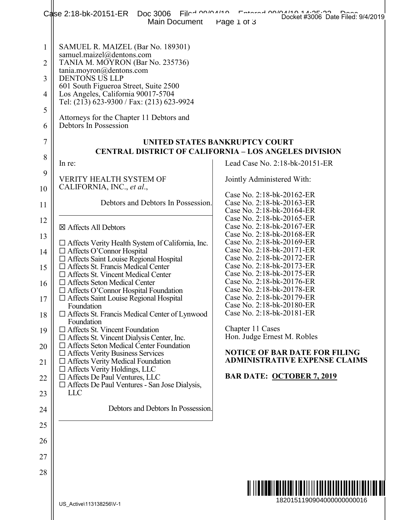|                                                                      | 1<br>Docket #3006 Date Filed: 9/4/2019<br>Film no manno<br>Calse 2:18-bk-20151-ER Doc 3006<br>Main Document<br>Page 1 of 3                                                                                                                                                                                                                                                                                                                                                                                                                                                                                                                                                                                                                                                                                                                                                  |                                                                                                                                                                                                                                                                                                                                                                                                                                                                                                                                 |
|----------------------------------------------------------------------|-----------------------------------------------------------------------------------------------------------------------------------------------------------------------------------------------------------------------------------------------------------------------------------------------------------------------------------------------------------------------------------------------------------------------------------------------------------------------------------------------------------------------------------------------------------------------------------------------------------------------------------------------------------------------------------------------------------------------------------------------------------------------------------------------------------------------------------------------------------------------------|---------------------------------------------------------------------------------------------------------------------------------------------------------------------------------------------------------------------------------------------------------------------------------------------------------------------------------------------------------------------------------------------------------------------------------------------------------------------------------------------------------------------------------|
| $\mathbf{1}$<br>2<br>3<br>4<br>5<br>6<br>7<br>8<br>9                 | SAMUEL R. MAIZEL (Bar No. 189301)<br>samuel.maizel@dentons.com<br>TANIA M. MOYRON (Bar No. 235736)<br>tania.moyron@dentons.com<br><b>DENTONS US LLP</b><br>601 South Figueroa Street, Suite 2500<br>Los Angeles, California 90017-5704<br>Tel: (213) 623-9300 / Fax: (213) 623-9924<br>Attorneys for the Chapter 11 Debtors and<br>Debtors In Possession<br>In re:<br><b>VERITY HEALTH SYSTEM OF</b><br>CALIFORNIA, INC., et al.,                                                                                                                                                                                                                                                                                                                                                                                                                                           | UNITED STATES BANKRUPTCY COURT<br><b>CENTRAL DISTRICT OF CALIFORNIA – LOS ANGELES DIVISION</b><br>Lead Case No. 2:18-bk-20151-ER<br>Jointly Administered With:                                                                                                                                                                                                                                                                                                                                                                  |
| 10<br>11                                                             | Debtors and Debtors In Possession.                                                                                                                                                                                                                                                                                                                                                                                                                                                                                                                                                                                                                                                                                                                                                                                                                                          | Case No. 2:18-bk-20162-ER<br>Case No. 2:18-bk-20163-ER<br>Case No. 2:18-bk-20164-ER<br>Case No. 2:18-bk-20165-ER                                                                                                                                                                                                                                                                                                                                                                                                                |
| 12<br>13<br>14<br>15<br>16<br>17<br>18<br>19<br>20<br>21<br>22<br>23 | ⊠ Affects All Debtors<br>$\Box$ Affects Verity Health System of California, Inc.<br>$\Box$ Affects O'Connor Hospital<br>$\Box$ Affects Saint Louise Regional Hospital<br>$\Box$ Affects St. Francis Medical Center<br>□ Affects St. Vincent Medical Center<br>$\Box$ Affects Seton Medical Center<br>$\Box$ Affects O'Connor Hospital Foundation<br>□ Affects Saint Louise Regional Hospital<br>Foundation<br>$\Box$ Affects St. Francis Medical Center of Lynwood<br>Foundation<br>$\Box$ Affects St. Vincent Foundation<br>$\Box$ Affects St. Vincent Dialysis Center, Inc.<br>$\Box$ Affects Seton Medical Center Foundation<br>$\Box$ Affects Verity Business Services<br>$\Box$ Affects Verity Medical Foundation<br>$\Box$ Affects Verity Holdings, LLC<br>$\Box$ Affects De Paul Ventures, LLC<br>$\Box$ Affects De Paul Ventures - San Jose Dialysis,<br><b>LLC</b> | Case No. 2:18-bk-20167-ER<br>Case No. 2:18-bk-20168-ER<br>Case No. 2:18-bk-20169-ER<br>Case No. 2:18-bk-20171-ER<br>Case No. 2:18-bk-20172-ER<br>Case No. 2:18-bk-20173-ER<br>Case No. 2:18-bk-20175-ER<br>Case No. 2:18-bk-20176-ER<br>Case No. 2:18-bk-20178-ER<br>Case No. 2:18-bk-20179-ER<br>Case No. 2:18-bk-20180-ER<br>Case No. 2:18-bk-20181-ER<br>Chapter 11 Cases<br>Hon. Judge Ernest M. Robles<br><b>NOTICE OF BAR DATE FOR FILING</b><br><b>ADMINISTRATIVE EXPENSE CLAIMS</b><br><b>BAR DATE: OCTOBER 7, 2019</b> |
| 24                                                                   | Debtors and Debtors In Possession.                                                                                                                                                                                                                                                                                                                                                                                                                                                                                                                                                                                                                                                                                                                                                                                                                                          |                                                                                                                                                                                                                                                                                                                                                                                                                                                                                                                                 |
| 25                                                                   |                                                                                                                                                                                                                                                                                                                                                                                                                                                                                                                                                                                                                                                                                                                                                                                                                                                                             |                                                                                                                                                                                                                                                                                                                                                                                                                                                                                                                                 |
| 26                                                                   |                                                                                                                                                                                                                                                                                                                                                                                                                                                                                                                                                                                                                                                                                                                                                                                                                                                                             |                                                                                                                                                                                                                                                                                                                                                                                                                                                                                                                                 |
| 27                                                                   |                                                                                                                                                                                                                                                                                                                                                                                                                                                                                                                                                                                                                                                                                                                                                                                                                                                                             |                                                                                                                                                                                                                                                                                                                                                                                                                                                                                                                                 |
| 28                                                                   | US_Active\113138256\V-1                                                                                                                                                                                                                                                                                                                                                                                                                                                                                                                                                                                                                                                                                                                                                                                                                                                     | 1820151190904000000000016                                                                                                                                                                                                                                                                                                                                                                                                                                                                                                       |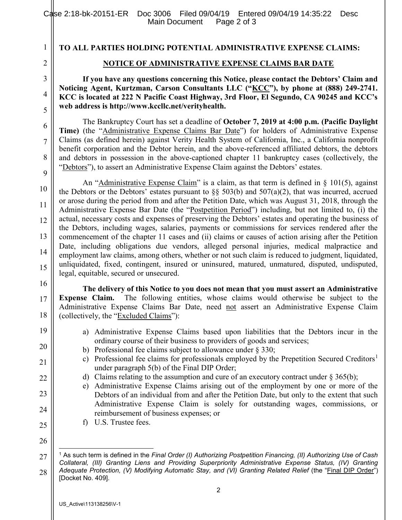1

2

3

4

5

6

7

8

9

10

11

12

13

14

15

16

17

18

19

20

21

22

23

24

## TO ALL PARTIES HOLDING POTENTIAL ADMINISTRATIVE EXPENSE CLAIMS:

## NOTICE OF ADMINISTRATIVE EXPENSE CLAIMS BAR DATE

If you have any questions concerning this Notice, please contact the Debtors' Claim and Noticing Agent, Kurtzman, Carson Consultants LLC ("KCC"), by phone at (888) 249-2741. KCC is located at 222 N Pacific Coast Highway, 3rd Floor, El Segundo, CA 90245 and KCC's web address is http://www.kccllc.net/verityhealth.

The Bankruptcy Court has set a deadline of October 7, 2019 at 4:00 p.m. (Pacific Daylight Time) (the "Administrative Expense Claims Bar Date") for holders of Administrative Expense Claims (as defined herein) against Verity Health System of California, Inc., a California nonprofit benefit corporation and the Debtor herein, and the above-referenced affiliated debtors, the debtors and debtors in possession in the above-captioned chapter 11 bankruptcy cases (collectively, the "Debtors"), to assert an Administrative Expense Claim against the Debtors' estates.

An "Administrative Expense Claim" is a claim, as that term is defined in  $\S$  101(5), against the Debtors or the Debtors' estates pursuant to  $\S$ § 503(b) and 507(a)(2), that was incurred, accrued or arose during the period from and after the Petition Date, which was August 31, 2018, through the Administrative Expense Bar Date (the "Postpetition Period") including, but not limited to, (i) the actual, necessary costs and expenses of preserving the Debtors' estates and operating the business of the Debtors, including wages, salaries, payments or commissions for services rendered after the commencement of the chapter 11 cases and (ii) claims or causes of action arising after the Petition Date, including obligations due vendors, alleged personal injuries, medical malpractice and employment law claims, among others, whether or not such claim is reduced to judgment, liquidated, unliquidated, fixed, contingent, insured or uninsured, matured, unmatured, disputed, undisputed, legal, equitable, secured or unsecured.

The delivery of this Notice to you does not mean that you must assert an Administrative Expense Claim. The following entities, whose claims would otherwise be subject to the Administrative Expense Claims Bar Date, need not assert an Administrative Expense Claim (collectively, the "Excluded Claims"):

- a) Administrative Expense Claims based upon liabilities that the Debtors incur in the ordinary course of their business to providers of goods and services;
- b) Professional fee claims subject to allowance under § 330;
- c) Professional fee claims for professionals employed by the Prepetition Secured Creditors<sup>1</sup> under paragraph 5(b) of the Final DIP Order;
- d) Claims relating to the assumption and cure of an executory contract under  $\S 365(b)$ ;
- e) Administrative Expense Claims arising out of the employment by one or more of the Debtors of an individual from and after the Petition Date, but only to the extent that such Administrative Expense Claim is solely for outstanding wages, commissions, or reimbursement of business expenses; or
- f) U.S. Trustee fees.
- 25 26

 $\overline{a}$ 

<sup>27</sup>  28 <sup>1</sup> As such term is defined in the Final Order (I) Authorizing Postpetition Financing, (II) Authorizing Use of Cash Collateral, (III) Granting Liens and Providing Superpriority Administrative Expense Status, (IV) Granting Adequate Protection, (V) Modifying Automatic Stay, and (VI) Granting Related Relief (the "Final DIP Order") [Docket No. 409].